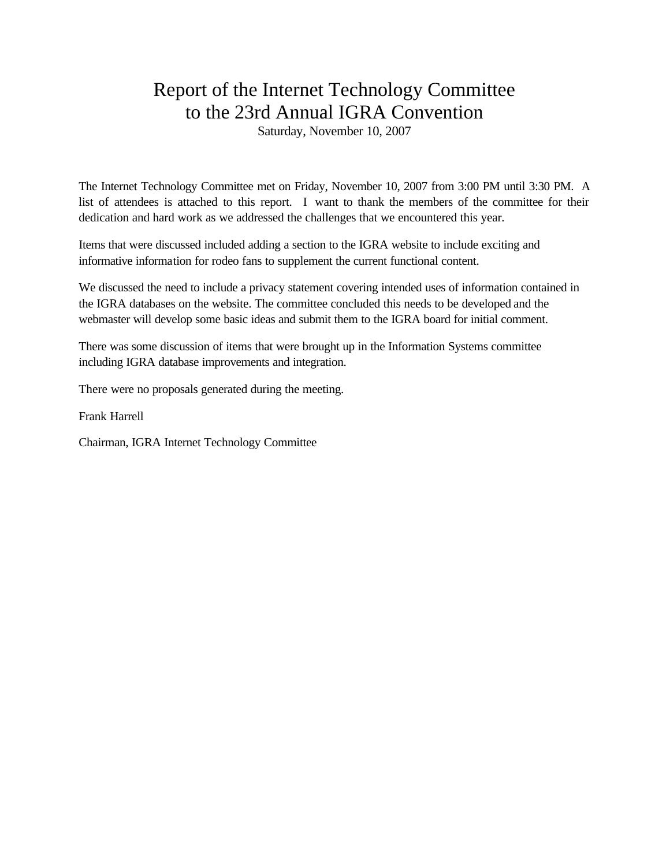## Report of the Internet Technology Committee to the 23rd Annual IGRA Convention

Saturday, November 10, 2007

The Internet Technology Committee met on Friday, November 10, 2007 from 3:00 PM until 3:30 PM. A list of attendees is attached to this report. I want to thank the members of the committee for their dedication and hard work as we addressed the challenges that we encountered this year.

Items that were discussed included adding a section to the IGRA website to include exciting and informative information for rodeo fans to supplement the current functional content.

We discussed the need to include a privacy statement covering intended uses of information contained in the IGRA databases on the website. The committee concluded this needs to be developed and the webmaster will develop some basic ideas and submit them to the IGRA board for initial comment.

There was some discussion of items that were brought up in the Information Systems committee including IGRA database improvements and integration.

There were no proposals generated during the meeting.

Frank Harrell

Chairman, IGRA Internet Technology Committee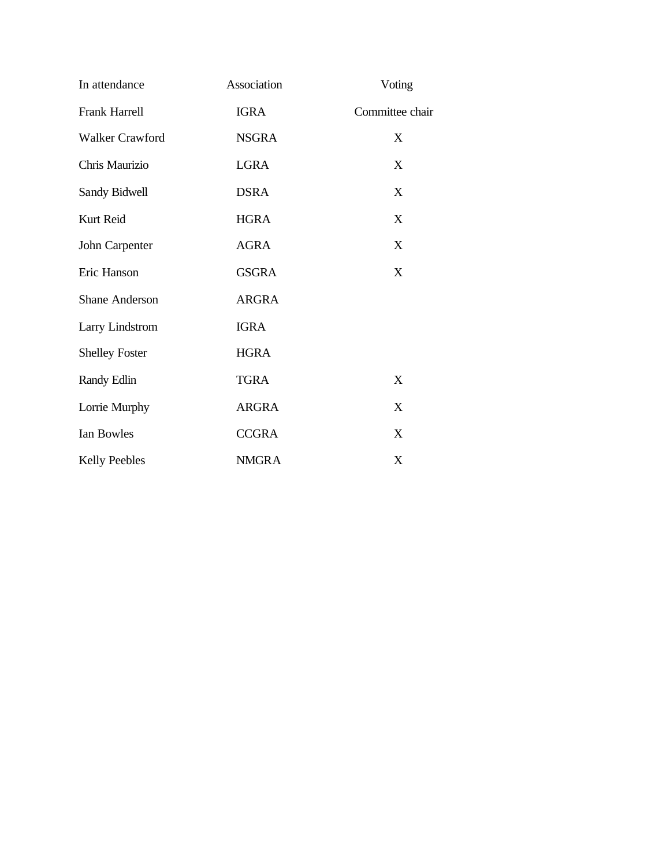| In attendance          | Association  | Voting          |
|------------------------|--------------|-----------------|
| <b>Frank Harrell</b>   | <b>IGRA</b>  | Committee chair |
| <b>Walker Crawford</b> | <b>NSGRA</b> | X               |
| Chris Maurizio         | <b>LGRA</b>  | X               |
| Sandy Bidwell          | <b>DSRA</b>  | X               |
| Kurt Reid              | <b>HGRA</b>  | X               |
| John Carpenter         | <b>AGRA</b>  | X               |
| Eric Hanson            | <b>GSGRA</b> | X               |
| <b>Shane Anderson</b>  | <b>ARGRA</b> |                 |
| <b>Larry Lindstrom</b> | <b>IGRA</b>  |                 |
| <b>Shelley Foster</b>  | <b>HGRA</b>  |                 |
| Randy Edlin            | <b>TGRA</b>  | X               |
| Lorrie Murphy          | <b>ARGRA</b> | X               |
| Ian Bowles             | <b>CCGRA</b> | X               |
| <b>Kelly Peebles</b>   | <b>NMGRA</b> | X               |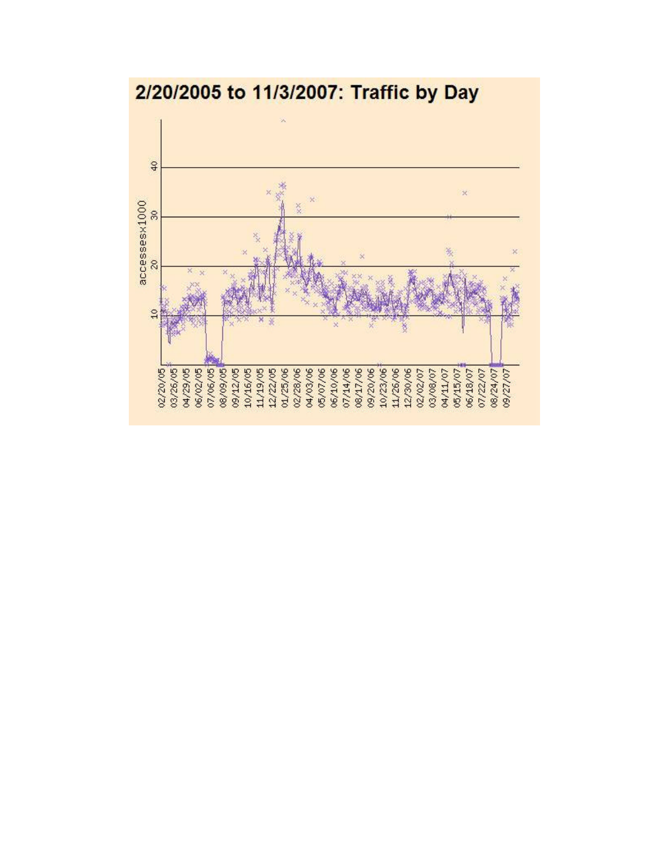